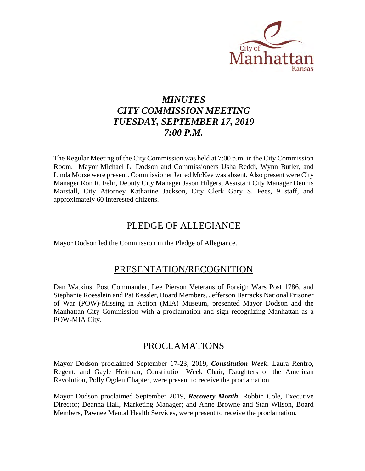

# *MINUTES CITY COMMISSION MEETING TUESDAY, SEPTEMBER 17, 2019 7:00 P.M.*

The Regular Meeting of the City Commission was held at 7:00 p.m. in the City Commission Room. Mayor Michael L. Dodson and Commissioners Usha Reddi, Wynn Butler, and Linda Morse were present. Commissioner Jerred McKee was absent. Also present were City Manager Ron R. Fehr, Deputy City Manager Jason Hilgers, Assistant City Manager Dennis Marstall, City Attorney Katharine Jackson, City Clerk Gary S. Fees, 9 staff, and approximately 60 interested citizens.

# PLEDGE OF ALLEGIANCE

Mayor Dodson led the Commission in the Pledge of Allegiance.

### PRESENTATION/RECOGNITION

Dan Watkins, Post Commander, Lee Pierson Veterans of Foreign Wars Post 1786, and Stephanie Roesslein and Pat Kessler, Board Members, Jefferson Barracks National Prisoner of War (POW)-Missing in Action (MIA) Museum, presented Mayor Dodson and the Manhattan City Commission with a proclamation and sign recognizing Manhattan as a POW-MIA City.

### PROCLAMATIONS

Mayor Dodson proclaimed September 17-23, 2019, *Constitution Week*. Laura Renfro, Regent, and Gayle Heitman, Constitution Week Chair, Daughters of the American Revolution, Polly Ogden Chapter, were present to receive the proclamation.

Mayor Dodson proclaimed September 2019, *Recovery Month*. Robbin Cole, Executive Director; Deanna Hall, Marketing Manager; and Anne Browne and Stan Wilson, Board Members, Pawnee Mental Health Services, were present to receive the proclamation.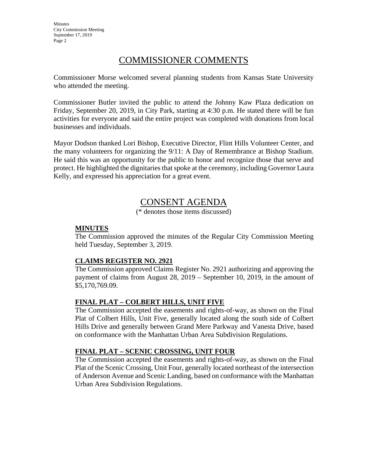**Minutes** City Commission Meeting September 17, 2019 Page 2

# COMMISSIONER COMMENTS

Commissioner Morse welcomed several planning students from Kansas State University who attended the meeting.

Commissioner Butler invited the public to attend the Johnny Kaw Plaza dedication on Friday, September 20, 2019, in City Park, starting at 4:30 p.m. He stated there will be fun activities for everyone and said the entire project was completed with donations from local businesses and individuals.

Mayor Dodson thanked Lori Bishop, Executive Director, Flint Hills Volunteer Center, and the many volunteers for organizing the 9/11: A Day of Remembrance at Bishop Stadium. He said this was an opportunity for the public to honor and recognize those that serve and protect. He highlighted the dignitaries that spoke at the ceremony, including Governor Laura Kelly, and expressed his appreciation for a great event.

# CONSENT AGENDA

(\* denotes those items discussed)

### **MINUTES**

The Commission approved the minutes of the Regular City Commission Meeting held Tuesday, September 3, 2019.

### **CLAIMS REGISTER NO. 2921**

The Commission approved Claims Register No. 2921 authorizing and approving the payment of claims from August 28, 2019 – September 10, 2019, in the amount of \$5,170,769.09.

### **FINAL PLAT – COLBERT HILLS, UNIT FIVE**

The Commission accepted the easements and rights-of-way, as shown on the Final Plat of Colbert Hills, Unit Five, generally located along the south side of Colbert Hills Drive and generally between Grand Mere Parkway and Vanesta Drive, based on conformance with the Manhattan Urban Area Subdivision Regulations.

### **FINAL PLAT – SCENIC CROSSING, UNIT FOUR**

The Commission accepted the easements and rights-of-way, as shown on the Final Plat of the Scenic Crossing, Unit Four, generally located northeast of the intersection of Anderson Avenue and Scenic Landing, based on conformance with the Manhattan Urban Area Subdivision Regulations.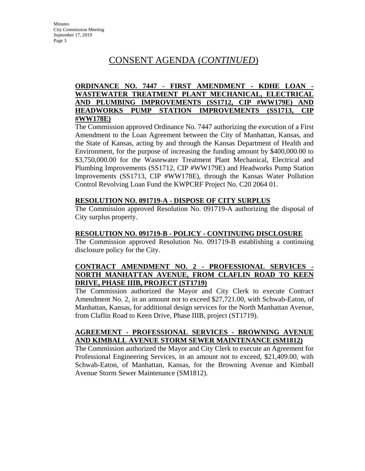### **ORDINANCE NO. 7447 - FIRST AMENDMENT - KDHE LOAN - WASTEWATER TREATMENT PLANT MECHANICAL, ELECTRICAL AND PLUMBING IMPROVEMENTS (SS1712, CIP #WW179E) AND HEADWORKS PUMP STATION IMPROVEMENTS (SS1713, CIP #WW178E)**

The Commission approved Ordinance No. 7447 authorizing the execution of a First Amendment to the Loan Agreement between the City of Manhattan, Kansas, and the State of Kansas, acting by and through the Kansas Department of Health and Environment, for the purpose of increasing the funding amount by \$400,000.00 to \$3,750,000.00 for the Wastewater Treatment Plant Mechanical, Electrical and Plumbing Improvements (SS1712, CIP #WW179E) and Headworks Pump Station Improvements (SS1713, CIP #WW178E), through the Kansas Water Pollution Control Revolving Loan Fund the KWPCRF Project No. C20 2064 01.

#### **RESOLUTION NO. 091719-A - DISPOSE OF CITY SURPLUS**

The Commission approved Resolution No. 091719-A authorizing the disposal of City surplus property.

#### **RESOLUTION NO. 091719-B - POLICY - CONTINUING DISCLOSURE**

The Commission approved Resolution No. 091719-B establishing a continuing disclosure policy for the City.

#### **CONTRACT AMENDMENT NO. 2 - PROFESSIONAL SERVICES - NORTH MANHATTAN AVENUE, FROM CLAFLIN ROAD TO KEEN DRIVE, PHASE IIIB, PROJECT (ST1719)**

The Commission authorized the Mayor and City Clerk to execute Contract Amendment No. 2, in an amount not to exceed \$27,721.00, with Schwab-Eaton, of Manhattan, Kansas, for additional design services for the North Manhattan Avenue, from Claflin Road to Keen Drive, Phase IIIB, project (ST1719).

#### **AGREEMENT - PROFESSIONAL SERVICES - BROWNING AVENUE AND KIMBALL AVENUE STORM SEWER MAINTENANCE (SM1812)**

The Commission authorized the Mayor and City Clerk to execute an Agreement for Professional Engineering Services, in an amount not to exceed, \$21,409.00, with Schwab-Eaton, of Manhattan, Kansas, for the Browning Avenue and Kimball Avenue Storm Sewer Maintenance (SM1812).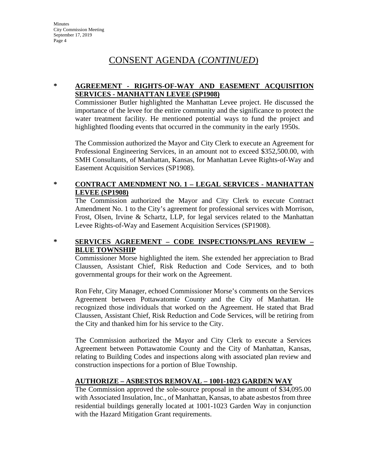### **\* AGREEMENT - RIGHTS-OF-WAY AND EASEMENT ACQUISITION SERVICES - MANHATTAN LEVEE (SP1908)**

Commissioner Butler highlighted the Manhattan Levee project. He discussed the importance of the levee for the entire community and the significance to protect the water treatment facility. He mentioned potential ways to fund the project and highlighted flooding events that occurred in the community in the early 1950s.

The Commission authorized the Mayor and City Clerk to execute an Agreement for Professional Engineering Services, in an amount not to exceed \$352,500.00, with SMH Consultants, of Manhattan, Kansas, for Manhattan Levee Rights-of-Way and Easement Acquisition Services (SP1908).

#### **\* CONTRACT AMENDMENT NO. 1 – LEGAL SERVICES - MANHATTAN LEVEE (SP1908)**

The Commission authorized the Mayor and City Clerk to execute Contract Amendment No. 1 to the City's agreement for professional services with Morrison, Frost, Olsen, Irvine & Schartz, LLP, for legal services related to the Manhattan Levee Rights-of-Way and Easement Acquisition Services (SP1908).

### **\* SERVICES AGREEMENT – CODE INSPECTIONS/PLANS REVIEW – BLUE TOWNSHIP**

Commissioner Morse highlighted the item. She extended her appreciation to Brad Claussen, Assistant Chief, Risk Reduction and Code Services, and to both governmental groups for their work on the Agreement.

Ron Fehr, City Manager, echoed Commissioner Morse's comments on the Services Agreement between Pottawatomie County and the City of Manhattan. He recognized those individuals that worked on the Agreement. He stated that Brad Claussen, Assistant Chief, Risk Reduction and Code Services, will be retiring from the City and thanked him for his service to the City.

The Commission authorized the Mayor and City Clerk to execute a Services Agreement between Pottawatomie County and the City of Manhattan, Kansas, relating to Building Codes and inspections along with associated plan review and construction inspections for a portion of Blue Township.

### **AUTHORIZE – ASBESTOS REMOVAL – 1001-1023 GARDEN WAY**

The Commission approved the sole-source proposal in the amount of \$34,095.00 with Associated Insulation, Inc., of Manhattan, Kansas, to abate asbestos from three residential buildings generally located at 1001-1023 Garden Way in conjunction with the Hazard Mitigation Grant requirements.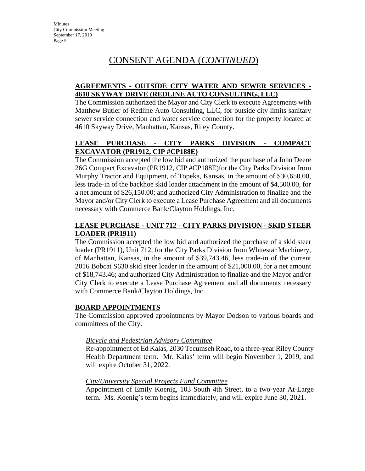### **AGREEMENTS - OUTSIDE CITY WATER AND SEWER SERVICES - 4610 SKYWAY DRIVE (REDLINE AUTO CONSULTING, LLC)**

The Commission authorized the Mayor and City Clerk to execute Agreements with Matthew Butler of Redline Auto Consulting, LLC, for outside city limits sanitary sewer service connection and water service connection for the property located at 4610 Skyway Drive, Manhattan, Kansas, Riley County.

### **LEASE PURCHASE - CITY PARKS DIVISION - COMPACT EXCAVATOR (PR1912, CIP #CP188E)**

The Commission accepted the low bid and authorized the purchase of a John Deere 26G Compact Excavator (PR1912, CIP #CP188E)for the City Parks Division from Murphy Tractor and Equipment, of Topeka, Kansas, in the amount of \$30,650.00, less trade-in of the backhoe skid loader attachment in the amount of \$4,500.00, for a net amount of \$26,150.00; and authorized City Administration to finalize and the Mayor and/or City Clerk to execute a Lease Purchase Agreement and all documents necessary with Commerce Bank/Clayton Holdings, Inc.

### **LEASE PURCHASE - UNIT 712 - CITY PARKS DIVISION - SKID STEER LOADER (PR1911)**

The Commission accepted the low bid and authorized the purchase of a skid steer loader (PR1911), Unit 712, for the City Parks Division from Whitestar Machinery, of Manhattan, Kansas, in the amount of \$39,743.46, less trade-in of the current 2016 Bobcat S630 skid steer loader in the amount of \$21,000.00, for a net amount of \$18,743.46; and authorized City Administration to finalize and the Mayor and/or City Clerk to execute a Lease Purchase Agreement and all documents necessary with Commerce Bank/Clayton Holdings, Inc.

#### **BOARD APPOINTMENTS**

The Commission approved appointments by Mayor Dodson to various boards and committees of the City.

### *Bicycle and Pedestrian Advisory Committee*

Re-appointment of Ed Kalas, 2030 Tecumseh Road, to a three-year Riley County Health Department term. Mr. Kalas' term will begin November 1, 2019, and will expire October 31, 2022.

#### *City/University Special Projects Fund Committee*

Appointment of Emily Koenig, 103 South 4th Street, to a two-year At-Large term. Ms. Koenig's term begins immediately, and will expire June 30, 2021.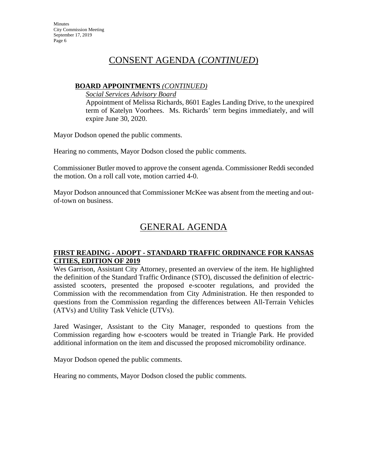### **BOARD APPOINTMENTS** *(CONTINUED)*

*Social Services Advisory Board* 

Appointment of Melissa Richards, 8601 Eagles Landing Drive, to the unexpired term of Katelyn Voorhees. Ms. Richards' term begins immediately, and will expire June 30, 2020.

Mayor Dodson opened the public comments.

Hearing no comments, Mayor Dodson closed the public comments.

Commissioner Butler moved to approve the consent agenda. Commissioner Reddi seconded the motion. On a roll call vote, motion carried 4-0.

Mayor Dodson announced that Commissioner McKee was absent from the meeting and outof-town on business.

# GENERAL AGENDA

### **FIRST READING - ADOPT - STANDARD TRAFFIC ORDINANCE FOR KANSAS CITIES, EDITION OF 2019**

Wes Garrison, Assistant City Attorney, presented an overview of the item. He highlighted the definition of the Standard Traffic Ordinance (STO), discussed the definition of electricassisted scooters, presented the proposed e-scooter regulations, and provided the Commission with the recommendation from City Administration. He then responded to questions from the Commission regarding the differences between All-Terrain Vehicles (ATVs) and Utility Task Vehicle (UTVs).

Jared Wasinger, Assistant to the City Manager, responded to questions from the Commission regarding how e-scooters would be treated in Triangle Park. He provided additional information on the item and discussed the proposed micromobility ordinance.

Mayor Dodson opened the public comments.

Hearing no comments, Mayor Dodson closed the public comments.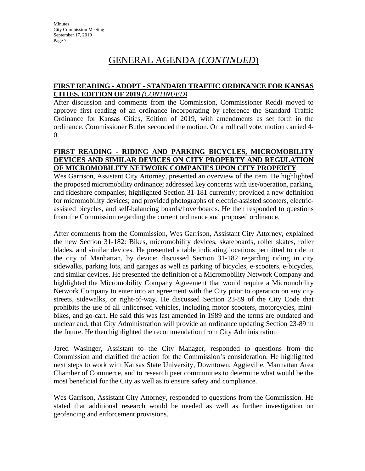#### **FIRST READING - ADOPT - STANDARD TRAFFIC ORDINANCE FOR KANSAS CITIES, EDITION OF 2019** *(CONTINUED)*

After discussion and comments from the Commission, Commissioner Reddi moved to approve first reading of an ordinance incorporating by reference the Standard Traffic Ordinance for Kansas Cities, Edition of 2019, with amendments as set forth in the ordinance. Commissioner Butler seconded the motion. On a roll call vote, motion carried 4- 0.

#### **FIRST READING - RIDING AND PARKING BICYCLES, MICROMOBILITY DEVICES AND SIMILAR DEVICES ON CITY PROPERTY AND REGULATION OF MICROMOBILITY NETWORK COMPANIES UPON CITY PROPERTY**

Wes Garrison, Assistant City Attorney, presented an overview of the item. He highlighted the proposed micromobility ordinance; addressed key concerns with use/operation, parking, and rideshare companies; highlighted Section 31-181 currently; provided a new definition for micromobility devices; and provided photographs of electric-assisted scooters, electricassisted bicycles, and self-balancing boards/hoverboards. He then responded to questions from the Commission regarding the current ordinance and proposed ordinance.

After comments from the Commission, Wes Garrison, Assistant City Attorney, explained the new Section 31-182: Bikes, micromobility devices, skateboards, roller skates, roller blades, and similar devices. He presented a table indicating locations permitted to ride in the city of Manhattan, by device; discussed Section 31-182 regarding riding in city sidewalks, parking lots, and garages as well as parking of bicycles, e-scooters, e-bicycles, and similar devices. He presented the definition of a Micromobility Network Company and highlighted the Micromobility Company Agreement that would require a Micromobility Network Company to enter into an agreement with the City prior to operation on any city streets, sidewalks, or right-of-way. He discussed Section 23-89 of the City Code that prohibits the use of all unlicensed vehicles, including motor scooters, motorcycles, minibikes, and go-cart. He said this was last amended in 1989 and the terms are outdated and unclear and, that City Administration will provide an ordinance updating Section 23-89 in the future. He then highlighted the recommendation from City Administration

Jared Wasinger, Assistant to the City Manager, responded to questions from the Commission and clarified the action for the Commission's consideration. He highlighted next steps to work with Kansas State University, Downtown, Aggieville, Manhattan Area Chamber of Commerce, and to research peer communities to determine what would be the most beneficial for the City as well as to ensure safety and compliance.

Wes Garrison, Assistant City Attorney, responded to questions from the Commission. He stated that additional research would be needed as well as further investigation on geofencing and enforcement provisions.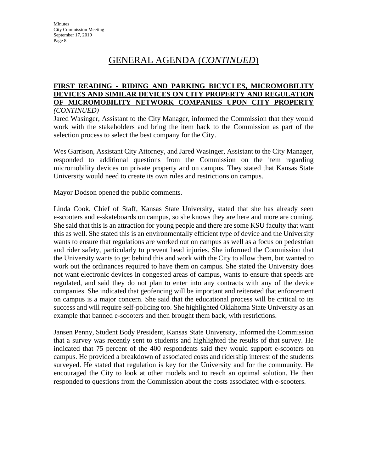#### **FIRST READING - RIDING AND PARKING BICYCLES, MICROMOBILITY DEVICES AND SIMILAR DEVICES ON CITY PROPERTY AND REGULATION OF MICROMOBILITY NETWORK COMPANIES UPON CITY PROPERTY**  *(CONTINUED)*

Jared Wasinger, Assistant to the City Manager, informed the Commission that they would work with the stakeholders and bring the item back to the Commission as part of the selection process to select the best company for the City.

Wes Garrison, Assistant City Attorney, and Jared Wasinger, Assistant to the City Manager, responded to additional questions from the Commission on the item regarding micromobility devices on private property and on campus. They stated that Kansas State University would need to create its own rules and restrictions on campus.

Mayor Dodson opened the public comments.

Linda Cook, Chief of Staff, Kansas State University, stated that she has already seen e-scooters and e-skateboards on campus, so she knows they are here and more are coming. She said that this is an attraction for young people and there are some KSU faculty that want this as well. She stated this is an environmentally efficient type of device and the University wants to ensure that regulations are worked out on campus as well as a focus on pedestrian and rider safety, particularly to prevent head injuries. She informed the Commission that the University wants to get behind this and work with the City to allow them, but wanted to work out the ordinances required to have them on campus. She stated the University does not want electronic devices in congested areas of campus, wants to ensure that speeds are regulated, and said they do not plan to enter into any contracts with any of the device companies. She indicated that geofencing will be important and reiterated that enforcement on campus is a major concern. She said that the educational process will be critical to its success and will require self-policing too. She highlighted Oklahoma State University as an example that banned e-scooters and then brought them back, with restrictions.

Jansen Penny, Student Body President, Kansas State University, informed the Commission that a survey was recently sent to students and highlighted the results of that survey. He indicated that 75 percent of the 400 respondents said they would support e-scooters on campus. He provided a breakdown of associated costs and ridership interest of the students surveyed. He stated that regulation is key for the University and for the community. He encouraged the City to look at other models and to reach an optimal solution. He then responded to questions from the Commission about the costs associated with e-scooters.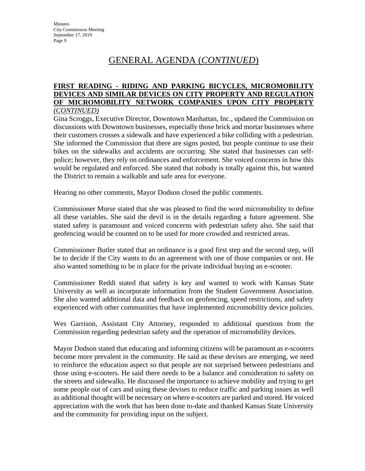#### **FIRST READING - RIDING AND PARKING BICYCLES, MICROMOBILITY DEVICES AND SIMILAR DEVICES ON CITY PROPERTY AND REGULATION OF MICROMOBILITY NETWORK COMPANIES UPON CITY PROPERTY**  *(CONTINUED)*

Gina Scroggs, Executive Director, Downtown Manhattan, Inc., updated the Commission on discussions with Downtown businesses, especially those brick and mortar businesses where their customers crosses a sidewalk and have experienced a bike colliding with a pedestrian. She informed the Commission that there are signs posted, but people continue to use their bikes on the sidewalks and accidents are occurring. She stated that businesses can selfpolice; however, they rely on ordinances and enforcement. She voiced concerns in how this would be regulated and enforced. She stated that nobody is totally against this, but wanted the District to remain a walkable and safe area for everyone.

Hearing no other comments, Mayor Dodson closed the public comments.

Commissioner Morse stated that she was pleased to find the word micromobility to define all these variables. She said the devil is in the details regarding a future agreement. She stated safety is paramount and voiced concerns with pedestrian safety also. She said that geofencing would be counted on to be used for more crowded and restricted areas.

Commissioner Butler stated that an ordinance is a good first step and the second step, will be to decide if the City wants to do an agreement with one of those companies or not. He also wanted something to be in place for the private individual buying an e-scooter.

Commissioner Reddi stated that safety is key and wanted to work with Kansas State University as well as incorporate information from the Student Government Association. She also wanted additional data and feedback on geofencing, speed restrictions, and safety experienced with other communities that have implemented micromobility device policies.

Wes Garrison, Assistant City Attorney, responded to additional questions from the Commission regarding pedestrian safety and the operation of micromobility devices.

Mayor Dodson stated that educating and informing citizens will be paramount as e-scooters become more prevalent in the community. He said as these devises are emerging, we need to reinforce the education aspect so that people are not surprised between pedestrians and those using e-scooters. He said there needs to be a balance and consideration to safety on the streets and sidewalks. He discussed the importance to achieve mobility and trying to get some people out of cars and using these devises to reduce traffic and parking issues as well as additional thought will be necessary on where e-scooters are parked and stored. He voiced appreciation with the work that has been done to-date and thanked Kansas State University and the community for providing input on the subject.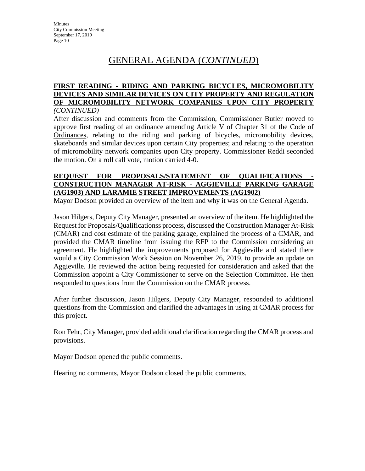#### **FIRST READING - RIDING AND PARKING BICYCLES, MICROMOBILITY DEVICES AND SIMILAR DEVICES ON CITY PROPERTY AND REGULATION OF MICROMOBILITY NETWORK COMPANIES UPON CITY PROPERTY**  *(CONTINUED)*

After discussion and comments from the Commission, Commissioner Butler moved to approve first reading of an ordinance amending Article V of Chapter 31 of the Code of Ordinances, relating to the riding and parking of bicycles, micromobility devices, skateboards and similar devices upon certain City properties; and relating to the operation of micromobility network companies upon City property. Commissioner Reddi seconded the motion. On a roll call vote, motion carried 4-0.

#### REQUEST FOR PROPOSALS/STATEMENT OF QUALIFICATIONS **CONSTRUCTION MANAGER AT-RISK - AGGIEVILLE PARKING GARAGE (AG1903) AND LARAMIE STREET IMPROVEMENTS (AG1902)**

Mayor Dodson provided an overview of the item and why it was on the General Agenda.

Jason Hilgers, Deputy City Manager, presented an overview of the item. He highlighted the Request for Proposals/Qualificationss process, discussed the Construction Manager At-Risk (CMAR) and cost estimate of the parking garage, explained the process of a CMAR, and provided the CMAR timeline from issuing the RFP to the Commission considering an agreement. He highlighted the improvements proposed for Aggieville and stated there would a City Commission Work Session on November 26, 2019, to provide an update on Aggieville. He reviewed the action being requested for consideration and asked that the Commission appoint a City Commissioner to serve on the Selection Committee. He then responded to questions from the Commission on the CMAR process.

After further discussion, Jason Hilgers, Deputy City Manager, responded to additional questions from the Commission and clarified the advantages in using at CMAR process for this project.

Ron Fehr, City Manager, provided additional clarification regarding the CMAR process and provisions.

Mayor Dodson opened the public comments.

Hearing no comments, Mayor Dodson closed the public comments.